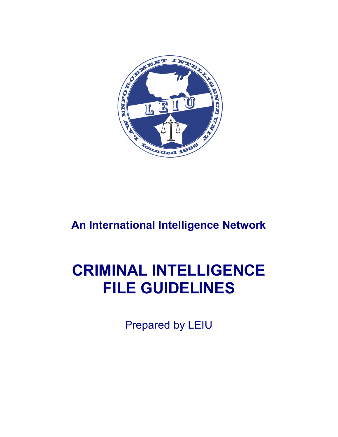

**An International Intelligence Network**

# **CRIMINAL INTELLIGENCE FILE GUIDELINES**

Prepared by LEIU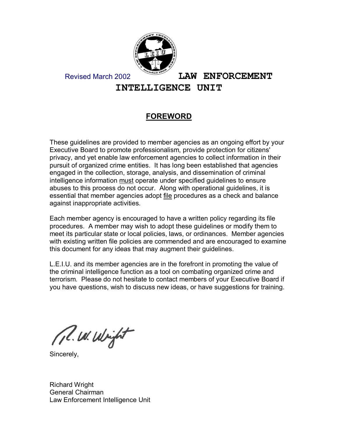

Revised March 2002 **LAW ENFORCEMENT** 

**INTELLIGENCE UNIT**

# **FOREWORD**

These guidelines are provided to member agencies as an ongoing effort by your Executive Board to promote professionalism, provide protection for citizens' privacy, and yet enable law enforcement agencies to collect information in their pursuit of organized crime entities. It has long been established that agencies engaged in the collection, storage, analysis, and dissemination of criminal intelligence information must operate under specified guidelines to ensure abuses to this process do not occur. Along with operational guidelines, it is essential that member agencies adopt file procedures as a check and balance against inappropriate activities.

Each member agency is encouraged to have a written policy regarding its file procedures. A member may wish to adopt these guidelines or modify them to meet its particular state or local policies, laws, or ordinances. Member agencies with existing written file policies are commended and are encouraged to examine this document for any ideas that may augment their guidelines.

L.E.I.U. and its member agencies are in the forefront in promoting the value of the criminal intelligence function as a tool on combating organized crime and terrorism. Please do not hesitate to contact members of your Executive Board if you have questions, wish to discuss new ideas, or have suggestions for training.

Pl. W. Wright

Sincerely,

Richard Wright General Chairman Law Enforcement Intelligence Unit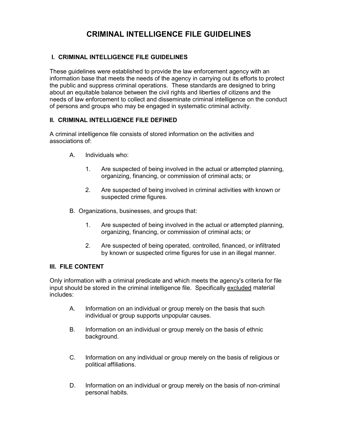# **CRIMINAL INTELLIGENCE FILE GUIDELINES**

# **I. CRIMINAL INTELLIGENCE FILE GUIDELINES**

These guidelines were established to provide the law enforcement agency with an information base that meets the needs of the agency in carrying out its efforts to protect the public and suppress criminal operations. These standards are designed to bring about an equitable balance between the civil rights and liberties of citizens and the needs of law enforcement to collect and disseminate criminal intelligence on the conduct of persons and groups who may be engaged in systematic criminal activity.

# **II. CRIMINAL INTELLIGENCE FILE DEFINED**

A criminal intelligence file consists of stored information on the activities and associations of:

- A. Individuals who:
	- 1. Are suspected of being involved in the actual or attempted planning, organizing, financing, or commission of criminal acts; or
	- 2. Are suspected of being involved in criminal activities with known or suspected crime figures.
- B. Organizations, businesses, and groups that:
	- 1. Are suspected of being involved in the actual or attempted planning, organizing, financing, or commission of criminal acts; or
	- 2. Are suspected of being operated, controlled, financed, or infiltrated by known or suspected crime figures for use in an illegal manner.

# **III. FILE CONTENT**

Only information with a criminal predicate and which meets the agency's criteria for file input should be stored in the criminal intelligence file. Specifically excluded material includes:

- A. Information on an individual or group merely on the basis that such individual or group supports unpopular causes.
- B. Information on an individual or group merely on the basis of ethnic background.
- C. Information on any individual or group merely on the basis of religious or political affiliations.
- D. Information on an individual or group merely on the basis of non-criminal personal habits.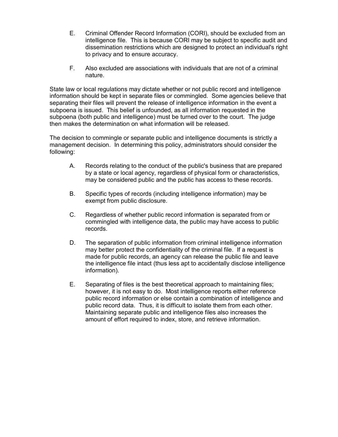- E. Criminal Offender Record Information (CORI), should be excluded from an intelligence file. This is because CORI may be subject to specific audit and dissemination restrictions which are designed to protect an individual's right to privacy and to ensure accuracy.
- F. Also excluded are associations with individuals that are not of a criminal nature.

State law or local regulations may dictate whether or not public record and intelligence information should be kept in separate files or commingled. Some agencies believe that separating their files will prevent the release of intelligence information in the event a subpoena is issued. This belief is unfounded, as all information requested in the subpoena (both public and intelligence) must be turned over to the court. The judge then makes the determination on what information will be released.

The decision to commingle or separate public and intelligence documents is strictly a management decision. In determining this policy, administrators should consider the following:

- A. Records relating to the conduct of the public's business that are prepared by a state or local agency, regardless of physical form or characteristics, may be considered public and the public has access to these records.
- B. Specific types of records (including intelligence information) may be exempt from public disclosure.
- C. Regardless of whether public record information is separated from or commingled with intelligence data, the public may have access to public records.
- D. The separation of public information from criminal intelligence information may better protect the confidentiality of the criminal file. If a request is made for public records, an agency can release the public file and leave the intelligence file intact (thus less apt to accidentally disclose intelligence information).
- E. Separating of files is the best theoretical approach to maintaining files; however, it is not easy to do. Most intelligence reports either reference public record information or else contain a combination of intelligence and public record data. Thus, it is difficult to isolate them from each other. Maintaining separate public and intelligence files also increases the amount of effort required to index, store, and retrieve information.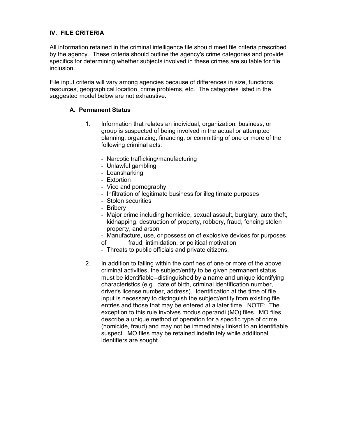# **IV. FILE CRITERIA**

All information retained in the criminal intelligence file should meet file criteria prescribed by the agency. These criteria should outline the agency's crime categories and provide specifics for determining whether subjects involved in these crimes are suitable for file inclusion.

File input criteria will vary among agencies because of differences in size, functions, resources, geographical location, crime problems, etc. The categories listed in the suggested model below are not exhaustive.

# **A. Permanent Status**

- 1. Information that relates an individual, organization, business, or group is suspected of being involved in the actual or attempted planning, organizing, financing, or committing of one or more of the following criminal acts:
	- Narcotic trafficking/manufacturing
	- Unlawful gambling
	- Loansharking
	- Extortion
	- Vice and pornography
	- Infiltration of legitimate business for illegitimate purposes
	- Stolen securities
	- Bribery
	- Major crime including homicide, sexual assault, burglary, auto theft, kidnapping, destruction of property, robbery, fraud, fencing stolen property, and arson
	- Manufacture, use, or possession of explosive devices for purposes
	- of fraud, intimidation, or political motivation
	- Threats to public officials and private citizens.
- 2. In addition to falling within the confines of one or more of the above criminal activities, the subject/entity to be given permanent status must be identifiable--distinguished by a name and unique identifying characteristics (e.g., date of birth, criminal identification number, driver's license number, address). Identification at the time of file input is necessary to distinguish the subject/entity from existing file entries and those that may be entered at a later time. NOTE: The exception to this rule involves modus operandi (MO) files. MO files describe a unique method of operation for a specific type of crime (homicide, fraud) and may not be immediately linked to an identifiable suspect. MO files may be retained indefinitely while additional identifiers are sought.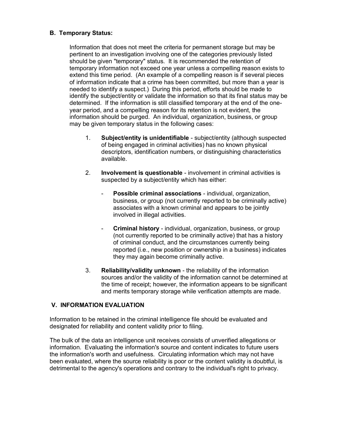# **B. Temporary Status:**

Information that does not meet the criteria for permanent storage but may be pertinent to an investigation involving one of the categories previously listed should be given "temporary" status. It is recommended the retention of temporary information not exceed one year unless a compelling reason exists to extend this time period. (An example of a compelling reason is if several pieces of information indicate that a crime has been committed, but more than a year is needed to identify a suspect.) During this period, efforts should be made to identify the subject/entity or validate the information so that its final status may be determined. If the information is still classified temporary at the end of the oneyear period, and a compelling reason for its retention is not evident, the information should be purged. An individual, organization, business, or group may be given temporary status in the following cases:

- 1. **Subject/entity is unidentifiable** subject/entity (although suspected of being engaged in criminal activities) has no known physical descriptors, identification numbers, or distinguishing characteristics available.
- 2. **Involvement is questionable** involvement in criminal activities is suspected by a subject/entity which has either:
	- **Possible criminal associations** individual, organization, business, or group (not currently reported to be criminally active) associates with a known criminal and appears to be jointly involved in illegal activities.
	- **Criminal history** individual, organization, business, or group (not currently reported to be criminally active) that has a history of criminal conduct, and the circumstances currently being reported (i.e., new position or ownership in a business) indicates they may again become criminally active.
- 3. **Reliability/validity unknown** the reliability of the information sources and/or the validity of the information cannot be determined at the time of receipt; however, the information appears to be significant and merits temporary storage while verification attempts are made.

# **V. INFORMATION EVALUATION**

Information to be retained in the criminal intelligence file should be evaluated and designated for reliability and content validity prior to filing.

The bulk of the data an intelligence unit receives consists of unverified allegations or information. Evaluating the information's source and content indicates to future users the information's worth and usefulness. Circulating information which may not have been evaluated, where the source reliability is poor or the content validity is doubtful, is detrimental to the agency's operations and contrary to the individual's right to privacy.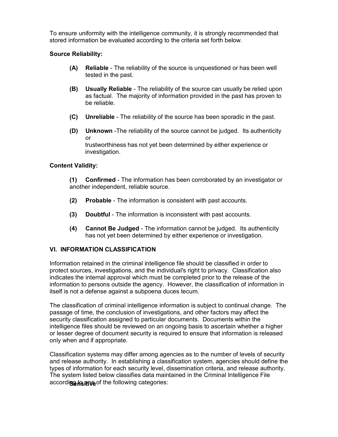To ensure uniformity with the intelligence community, it is strongly recommended that stored information be evaluated according to the criteria set forth below.

# **Source Reliability:**

- **(A) Reliable** The reliability of the source is unquestioned or has been well tested in the past.
- **(B) Usually Reliable** The reliability of the source can usually be relied upon as factual. The majority of information provided in the past has proven to be reliable.
- **(C) Unreliable**  The reliability of the source has been sporadic in the past.
- **(D) Unknown** -The reliability of the source cannot be judged. Its authenticity or trustworthiness has not yet been determined by either experience or investigation.

# **Content Validity:**

**(1) Confirmed** - The information has been corroborated by an investigator or another independent, reliable source.

- **(2) Probable**  The information is consistent with past accounts.
- **(3) Doubtful** The information is inconsistent with past accounts.
- **(4) Cannot Be Judged** The information cannot be judged. Its authenticity has not yet been determined by either experience or investigation.

# **VI. INFORMATION CLASSIFICATION**

Information retained in the criminal intelligence file should be classified in order to protect sources, investigations, and the individual's right to privacy. Classification also indicates the internal approval which must be completed prior to the release of the information to persons outside the agency. However, the classification of information in itself is not a defense against a subpoena duces tecum.

The classification of criminal intelligence information is subject to continual change. The passage of time, the conclusion of investigations, and other factors may affect the security classification assigned to particular documents. Documents within the intelligence files should be reviewed on an ongoing basis to ascertain whether a higher or lesser degree of document security is required to ensure that information is released only when and if appropriate.

Classification systems may differ among agencies as to the number of levels of security and release authority. In establishing a classification system, agencies should define the types of information for each security level, dissemination criteria, and release authority. The system listed below classifies data maintained in the Criminal Intelligence File according to make of the following categories: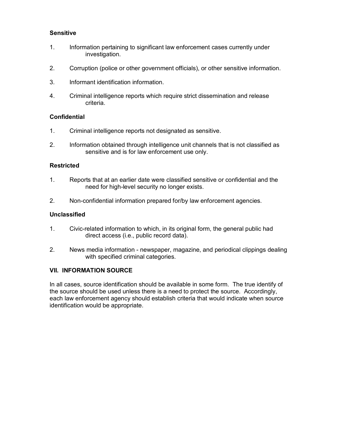# **Sensitive**

- 1. Information pertaining to significant law enforcement cases currently under investigation.
- 2. Corruption (police or other government officials), or other sensitive information.
- 3. Informant identification information.
- 4. Criminal intelligence reports which require strict dissemination and release criteria.

#### **Confidential**

- 1. Criminal intelligence reports not designated as sensitive.
- 2. Information obtained through intelligence unit channels that is not classified as sensitive and is for law enforcement use only.

#### **Restricted**

- 1. Reports that at an earlier date were classified sensitive or confidential and the need for high-level security no longer exists.
- 2. Non-confidential information prepared for/by law enforcement agencies.

#### **Unclassified**

- 1. Civic-related information to which, in its original form, the general public had direct access (i.e., public record data).
- 2. News media information newspaper, magazine, and periodical clippings dealing with specified criminal categories.

#### **VII. INFORMATION SOURCE**

In all cases, source identification should be available in some form. The true identify of the source should be used unless there is a need to protect the source. Accordingly, each law enforcement agency should establish criteria that would indicate when source identification would be appropriate.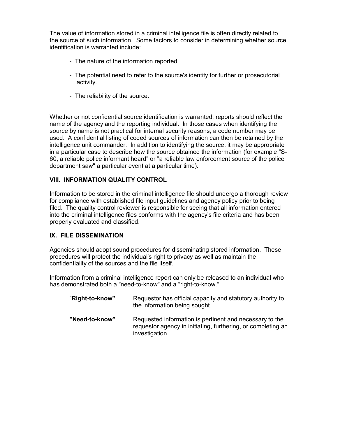The value of information stored in a criminal intelligence file is often directly related to the source of such information. Some factors to consider in determining whether source identification is warranted include:

- The nature of the information reported.
- The potential need to refer to the source's identity for further or prosecutorial activity.
- The reliability of the source.

Whether or not confidential source identification is warranted, reports should reflect the name of the agency and the reporting individual. In those cases when identifying the source by name is not practical for internal security reasons, a code number may be used. A confidential listing of coded sources of information can then be retained by the intelligence unit commander. In addition to identifying the source, it may be appropriate in a particular case to describe how the source obtained the information (for example "S-60, a reliable police informant heard" or "a reliable law enforcement source of the police department saw" a particular event at a particular time).

# **VIII. INFORMATION QUALITY CONTROL**

Information to be stored in the criminal intelligence file should undergo a thorough review for compliance with established file input guidelines and agency policy prior to being filed. The quality control reviewer is responsible for seeing that all information entered into the criminal intelligence files conforms with the agency's file criteria and has been properly evaluated and classified.

# **IX. FILE DISSEMINATION**

Agencies should adopt sound procedures for disseminating stored information. These procedures will protect the individual's right to privacy as well as maintain the confidentiality of the sources and the file itself.

Information from a criminal intelligence report can only be released to an individual who has demonstrated both a "need-to-know" and a "right-to-know."

| "Right-to-know" | Requestor has official capacity and statutory authority to<br>the information being sought.                                               |
|-----------------|-------------------------------------------------------------------------------------------------------------------------------------------|
| "Need-to-know"  | Requested information is pertinent and necessary to the<br>requestor agency in initiating, furthering, or completing an<br>investigation. |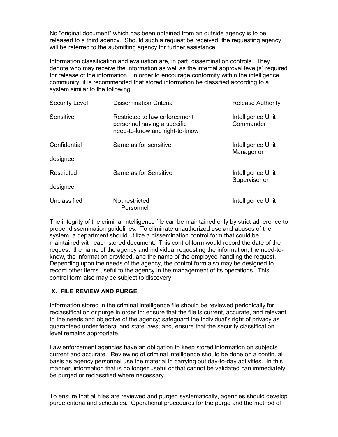No "original document" which has been obtained from an outside agency is to be released to a third agency. Should such a request be received, the requesting agency will be referred to the submitting agency for further assistance.

Information classification and evaluation are, in part, dissemination controls. They denote who may receive the information as well as the internal approval level(s) required for release of the information. In order to encourage conformity within the intelligence community, it is recommended that stored information be classified according to a system similar to the following.

| <b>Security Level</b> | <b>Dissemination Criteria</b>                                                                  | <b>Release Authority</b>       |
|-----------------------|------------------------------------------------------------------------------------------------|--------------------------------|
| Sensitive             | Restricted to law enforcement<br>personnel having a specific<br>need-to-know and right-to-know | Intelligence Unit<br>Commander |
| Confidential          | Same as for sensitive                                                                          | Intelligence Unit              |
| designee              |                                                                                                | Manager or                     |
| Restricted            | Same as for Sensitive                                                                          | Intelligence Unit              |
| designee              |                                                                                                | Supervisor or                  |
| Unclassified          | Not restricted<br>Personnel                                                                    | Intelligence Unit              |

The integrity of the criminal intelligence file can be maintained only by strict adherence to proper dissemination guidelines. To eliminate unauthorized use and abuses of the system, a department should utilize a dissemination control form that could be maintained with each stored document. This control form would record the date of the request, the name of the agency and individual requesting the information, the need-toknow, the information provided, and the name of the employee handling the request. Depending upon the needs of the agency, the control form also may be designed to record other items useful to the agency in the management of its operations. This control form also may be subject to discovery.

# **X. FILE REVIEW AND PURGE**

Information stored in the criminal intelligence file should be reviewed periodically for reclassification or purge in order to: ensure that the file is current, accurate, and relevant to the needs and objective of the agency; safeguard the individual's right of privacy as guaranteed under federal and state laws; and, ensure that the security classification level remains appropriate.

Law enforcement agencies have an obligation to keep stored information on subjects current and accurate. Reviewing of criminal intelligence should be done on a continual basis as agency personnel use the material in carrying out day-to-day activities. In this manner, information that is no longer useful or that cannot be validated can immediately be purged or reclassified where necessary.

To ensure that all files are reviewed and purged systematically, agencies should develop purge criteria and schedules. Operational procedures for the purge and the method of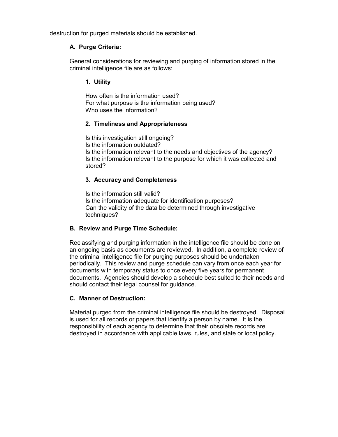destruction for purged materials should be established.

# **A. Purge Criteria:**

General considerations for reviewing and purging of information stored in the criminal intelligence file are as follows:

# **1. Utility**

 How often is the information used? For what purpose is the information being used? Who uses the information?

#### **2. Timeliness and Appropriateness**

 Is this investigation still ongoing? Is the information outdated? Is the information relevant to the needs and objectives of the agency? Is the information relevant to the purpose for which it was collected and stored?

# **3. Accuracy and Completeness**

 Is the information still valid? Is the information adequate for identification purposes? Can the validity of the data be determined through investigative techniques?

# **B. Review and Purge Time Schedule:**

Reclassifying and purging information in the intelligence file should be done on an ongoing basis as documents are reviewed. In addition, a complete review of the criminal intelligence file for purging purposes should be undertaken periodically. This review and purge schedule can vary from once each year for documents with temporary status to once every five years for permanent documents. Agencies should develop a schedule best suited to their needs and should contact their legal counsel for guidance.

#### **C. Manner of Destruction:**

Material purged from the criminal intelligence file should be destroyed. Disposal is used for all records or papers that identify a person by name. It is the responsibility of each agency to determine that their obsolete records are destroyed in accordance with applicable laws, rules, and state or local policy.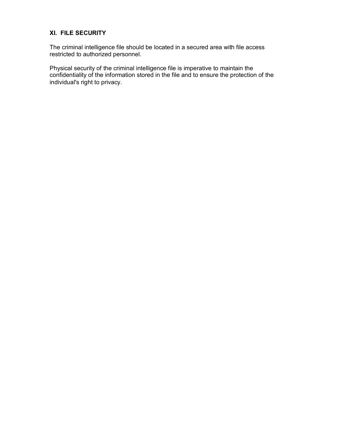# **XI. FILE SECURITY**

The criminal intelligence file should be located in a secured area with file access restricted to authorized personnel.

Physical security of the criminal intelligence file is imperative to maintain the confidentiality of the information stored in the file and to ensure the protection of the individual's right to privacy.